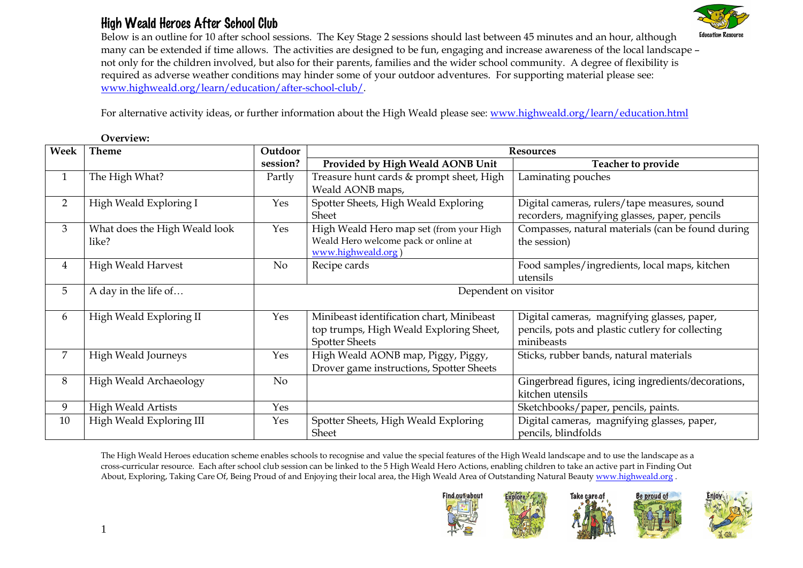## High Weald Heroes After School Club

Overview:



 Below is an outline for 10 after school sessions. The Key Stage 2 sessions should last between 45 minutes and an hour, although many can be extended if time allows. The activities are designed to be fun, engaging and increase awareness of the local landscape – not only for the children involved, but also for their parents, families and the wider school community. A degree of flexibility is required as adverse weather conditions may hinder some of your outdoor adventures. For supporting material please see: www.highweald.org/learn/education/after-school-club/.

For alternative activity ideas, or further information about the High Weald please see: www.highweald.org/learn/education.html

| Week           | <b>Theme</b>                  | Outdoor              | <b>Resources</b>                          |                                                     |  |
|----------------|-------------------------------|----------------------|-------------------------------------------|-----------------------------------------------------|--|
|                |                               | session?             | Provided by High Weald AONB Unit          | Teacher to provide                                  |  |
| $\mathbf{1}$   | The High What?                | Partly               | Treasure hunt cards & prompt sheet, High  | Laminating pouches                                  |  |
|                |                               |                      | Weald AONB maps,                          |                                                     |  |
| $\overline{2}$ | High Weald Exploring I        | Yes                  | Spotter Sheets, High Weald Exploring      | Digital cameras, rulers/tape measures, sound        |  |
|                |                               |                      | Sheet                                     | recorders, magnifying glasses, paper, pencils       |  |
| 3              | What does the High Weald look | Yes                  | High Weald Hero map set (from your High   | Compasses, natural materials (can be found during   |  |
|                | like?                         |                      | Weald Hero welcome pack or online at      | the session)                                        |  |
|                |                               |                      | www.highweald.org)                        |                                                     |  |
| 4              | <b>High Weald Harvest</b>     | No                   | Recipe cards                              | Food samples/ingredients, local maps, kitchen       |  |
|                |                               |                      |                                           | utensils                                            |  |
| 5              | A day in the life of          | Dependent on visitor |                                           |                                                     |  |
|                |                               |                      |                                           |                                                     |  |
| 6              | High Weald Exploring II       | Yes                  | Minibeast identification chart, Minibeast | Digital cameras, magnifying glasses, paper,         |  |
|                |                               |                      | top trumps, High Weald Exploring Sheet,   | pencils, pots and plastic cutlery for collecting    |  |
|                |                               |                      | <b>Spotter Sheets</b>                     | minibeasts                                          |  |
| $\overline{7}$ | High Weald Journeys           | Yes                  | High Weald AONB map, Piggy, Piggy,        | Sticks, rubber bands, natural materials             |  |
|                |                               |                      | Drover game instructions, Spotter Sheets  |                                                     |  |
| 8              | High Weald Archaeology        | No                   |                                           | Gingerbread figures, icing ingredients/decorations, |  |
|                |                               |                      |                                           | kitchen utensils                                    |  |
| 9              | <b>High Weald Artists</b>     | Yes                  |                                           | Sketchbooks/paper, pencils, paints.                 |  |
| 10             | High Weald Exploring III      | Yes                  | Spotter Sheets, High Weald Exploring      | Digital cameras, magnifying glasses, paper,         |  |
|                |                               |                      | Sheet                                     | pencils, blindfolds                                 |  |

The High Weald Heroes education scheme enables schools to recognise and value the special features of the High Weald landscape and to use the landscape as a cross-curricular resource. Each after school club session can be linked to the 5 High Weald Hero Actions, enabling children to take an active part in Finding Out About, Exploring, Taking Care Of, Being Proud of and Enjoying their local area, the High Weald Area of Outstanding Natural Beauty www.highweald.org .







**Be proud of** 

1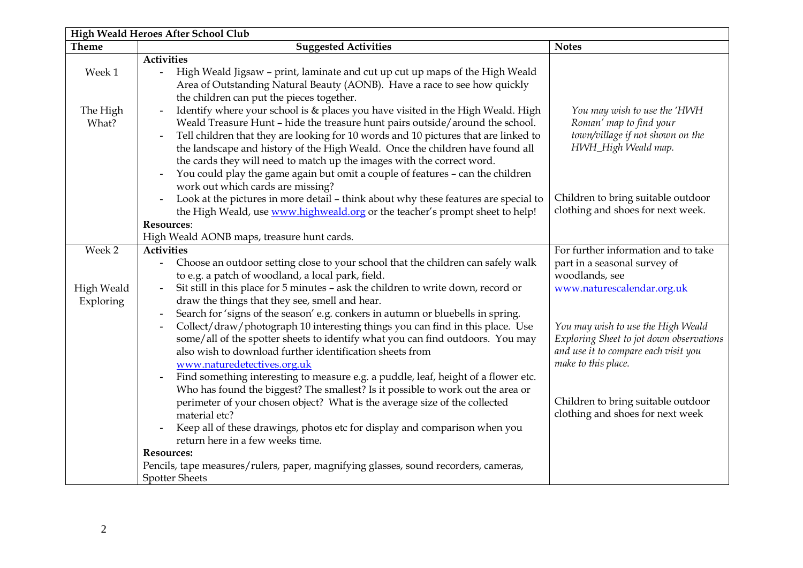| High Weald Heroes After School Club |                                                                                                                                                                                                                                                                                                                                                                                                                                                                                                                                                                                            |                                                                                                                                               |  |  |  |
|-------------------------------------|--------------------------------------------------------------------------------------------------------------------------------------------------------------------------------------------------------------------------------------------------------------------------------------------------------------------------------------------------------------------------------------------------------------------------------------------------------------------------------------------------------------------------------------------------------------------------------------------|-----------------------------------------------------------------------------------------------------------------------------------------------|--|--|--|
| <b>Theme</b>                        | <b>Suggested Activities</b>                                                                                                                                                                                                                                                                                                                                                                                                                                                                                                                                                                | <b>Notes</b>                                                                                                                                  |  |  |  |
| Week 1                              | <b>Activities</b><br>High Weald Jigsaw - print, laminate and cut up cut up maps of the High Weald<br>$\blacksquare$<br>Area of Outstanding Natural Beauty (AONB). Have a race to see how quickly<br>the children can put the pieces together.                                                                                                                                                                                                                                                                                                                                              |                                                                                                                                               |  |  |  |
| The High<br>What?                   | Identify where your school is & places you have visited in the High Weald. High<br>Weald Treasure Hunt - hide the treasure hunt pairs outside/around the school.<br>Tell children that they are looking for 10 words and 10 pictures that are linked to<br>$\blacksquare$<br>the landscape and history of the High Weald. Once the children have found all<br>the cards they will need to match up the images with the correct word.<br>You could play the game again but omit a couple of features - can the children<br>work out which cards are missing?                                | You may wish to use the 'HWH<br>Roman' map to find your<br>town/village if not shown on the<br>HWH_High Weald map.                            |  |  |  |
|                                     | Look at the pictures in more detail - think about why these features are special to<br>$\blacksquare$<br>the High Weald, use www.highweald.org or the teacher's prompt sheet to help!                                                                                                                                                                                                                                                                                                                                                                                                      | Children to bring suitable outdoor<br>clothing and shoes for next week.                                                                       |  |  |  |
|                                     | <b>Resources:</b>                                                                                                                                                                                                                                                                                                                                                                                                                                                                                                                                                                          |                                                                                                                                               |  |  |  |
|                                     | High Weald AONB maps, treasure hunt cards.                                                                                                                                                                                                                                                                                                                                                                                                                                                                                                                                                 |                                                                                                                                               |  |  |  |
| Week 2<br>High Weald                | <b>Activities</b><br>Choose an outdoor setting close to your school that the children can safely walk<br>to e.g. a patch of woodland, a local park, field.<br>Sit still in this place for 5 minutes - ask the children to write down, record or                                                                                                                                                                                                                                                                                                                                            | For further information and to take<br>part in a seasonal survey of<br>woodlands, see<br>www.naturescalendar.org.uk                           |  |  |  |
| Exploring                           | draw the things that they see, smell and hear.<br>Search for 'signs of the season' e.g. conkers in autumn or bluebells in spring.<br>Collect/draw/photograph 10 interesting things you can find in this place. Use<br>some/all of the spotter sheets to identify what you can find outdoors. You may<br>also wish to download further identification sheets from<br>www.naturedetectives.org.uk<br>Find something interesting to measure e.g. a puddle, leaf, height of a flower etc.<br>$\blacksquare$<br>Who has found the biggest? The smallest? Is it possible to work out the area or | You may wish to use the High Weald<br>Exploring Sheet to jot down observations<br>and use it to compare each visit you<br>make to this place. |  |  |  |
|                                     | perimeter of your chosen object? What is the average size of the collected<br>material etc?<br>Keep all of these drawings, photos etc for display and comparison when you<br>return here in a few weeks time.                                                                                                                                                                                                                                                                                                                                                                              | Children to bring suitable outdoor<br>clothing and shoes for next week                                                                        |  |  |  |
|                                     | <b>Resources:</b>                                                                                                                                                                                                                                                                                                                                                                                                                                                                                                                                                                          |                                                                                                                                               |  |  |  |
|                                     | Pencils, tape measures/rulers, paper, magnifying glasses, sound recorders, cameras,<br><b>Spotter Sheets</b>                                                                                                                                                                                                                                                                                                                                                                                                                                                                               |                                                                                                                                               |  |  |  |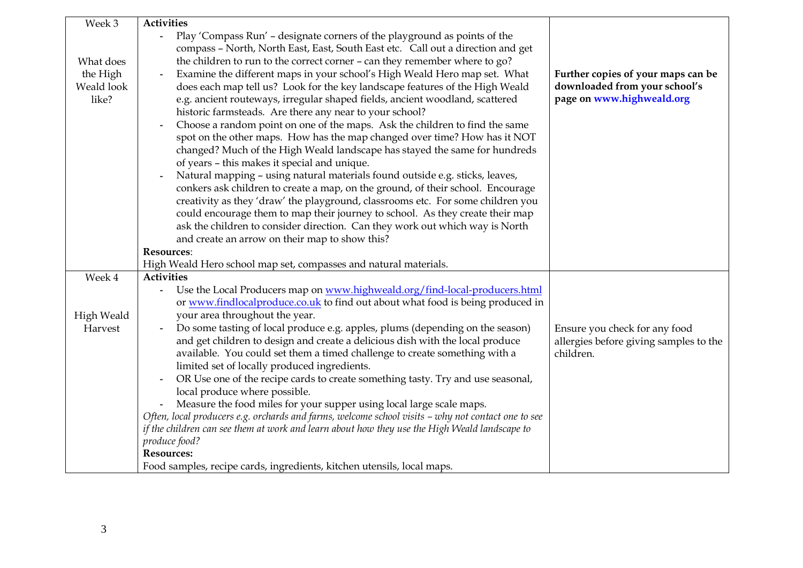| Week 3            | <b>Activities</b>                                                                                                                       |                                        |
|-------------------|-----------------------------------------------------------------------------------------------------------------------------------------|----------------------------------------|
|                   | Play 'Compass Run' - designate corners of the playground as points of the<br>$\sim$ $^{-1}$                                             |                                        |
|                   | compass - North, North East, East, South East etc. Call out a direction and get                                                         |                                        |
| What does         | the children to run to the correct corner - can they remember where to go?                                                              |                                        |
| the High          | Examine the different maps in your school's High Weald Hero map set. What<br>$\blacksquare$                                             | Further copies of your maps can be     |
| Weald look        | does each map tell us? Look for the key landscape features of the High Weald                                                            | downloaded from your school's          |
| like?             | e.g. ancient routeways, irregular shaped fields, ancient woodland, scattered<br>historic farmsteads. Are there any near to your school? | page on www.highweald.org              |
|                   | Choose a random point on one of the maps. Ask the children to find the same                                                             |                                        |
|                   | spot on the other maps. How has the map changed over time? How has it NOT                                                               |                                        |
|                   | changed? Much of the High Weald landscape has stayed the same for hundreds                                                              |                                        |
|                   | of years - this makes it special and unique.                                                                                            |                                        |
|                   | Natural mapping - using natural materials found outside e.g. sticks, leaves,                                                            |                                        |
|                   | conkers ask children to create a map, on the ground, of their school. Encourage                                                         |                                        |
|                   | creativity as they 'draw' the playground, classrooms etc. For some children you                                                         |                                        |
|                   | could encourage them to map their journey to school. As they create their map                                                           |                                        |
|                   | ask the children to consider direction. Can they work out which way is North                                                            |                                        |
|                   | and create an arrow on their map to show this?                                                                                          |                                        |
|                   | <b>Resources:</b>                                                                                                                       |                                        |
|                   | High Weald Hero school map set, compasses and natural materials.                                                                        |                                        |
| Week 4            | <b>Activities</b>                                                                                                                       |                                        |
|                   | Use the Local Producers map on www.highweald.org/find-local-producers.html                                                              |                                        |
|                   | or www.findlocalproduce.co.uk to find out about what food is being produced in                                                          |                                        |
| <b>High Weald</b> | your area throughout the year.                                                                                                          |                                        |
| Harvest           | Do some tasting of local produce e.g. apples, plums (depending on the season)<br>$\blacksquare$                                         | Ensure you check for any food          |
|                   | and get children to design and create a delicious dish with the local produce                                                           | allergies before giving samples to the |
|                   | available. You could set them a timed challenge to create something with a                                                              | children.                              |
|                   | limited set of locally produced ingredients.                                                                                            |                                        |
|                   | OR Use one of the recipe cards to create something tasty. Try and use seasonal,<br>$\blacksquare$                                       |                                        |
|                   | local produce where possible.                                                                                                           |                                        |
|                   | Measure the food miles for your supper using local large scale maps.                                                                    |                                        |
|                   | Often, local producers e.g. orchards and farms, welcome school visits - why not contact one to see                                      |                                        |
|                   | if the children can see them at work and learn about how they use the High Weald landscape to                                           |                                        |
|                   | produce food?                                                                                                                           |                                        |
|                   | <b>Resources:</b>                                                                                                                       |                                        |
|                   | Food samples, recipe cards, ingredients, kitchen utensils, local maps.                                                                  |                                        |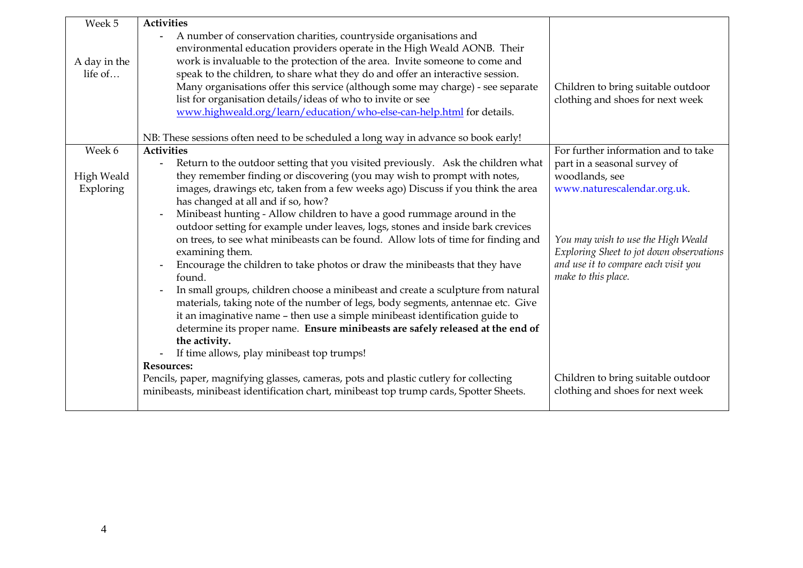| Week 5                  | <b>Activities</b>                                                                                                                                                                                                                                                                                                                                                                                                                                                                                                                                                                                                                                    |                                                                                                                                                                                                                                |
|-------------------------|------------------------------------------------------------------------------------------------------------------------------------------------------------------------------------------------------------------------------------------------------------------------------------------------------------------------------------------------------------------------------------------------------------------------------------------------------------------------------------------------------------------------------------------------------------------------------------------------------------------------------------------------------|--------------------------------------------------------------------------------------------------------------------------------------------------------------------------------------------------------------------------------|
| A day in the            | A number of conservation charities, countryside organisations and<br>$\blacksquare$<br>environmental education providers operate in the High Weald AONB. Their<br>work is invaluable to the protection of the area. Invite someone to come and                                                                                                                                                                                                                                                                                                                                                                                                       |                                                                                                                                                                                                                                |
| life of                 | speak to the children, to share what they do and offer an interactive session.<br>Many organisations offer this service (although some may charge) - see separate<br>list for organisation details/ideas of who to invite or see<br>www.highweald.org/learn/education/who-else-can-help.html for details.                                                                                                                                                                                                                                                                                                                                            | Children to bring suitable outdoor<br>clothing and shoes for next week                                                                                                                                                         |
|                         | NB: These sessions often need to be scheduled a long way in advance so book early!                                                                                                                                                                                                                                                                                                                                                                                                                                                                                                                                                                   |                                                                                                                                                                                                                                |
| Week 6                  | <b>Activities</b>                                                                                                                                                                                                                                                                                                                                                                                                                                                                                                                                                                                                                                    | For further information and to take                                                                                                                                                                                            |
| High Weald<br>Exploring | Return to the outdoor setting that you visited previously. Ask the children what<br>they remember finding or discovering (you may wish to prompt with notes,<br>images, drawings etc, taken from a few weeks ago) Discuss if you think the area<br>has changed at all and if so, how?<br>Minibeast hunting - Allow children to have a good rummage around in the<br>outdoor setting for example under leaves, logs, stones and inside bark crevices<br>on trees, to see what minibeasts can be found. Allow lots of time for finding and<br>examining them.<br>Encourage the children to take photos or draw the minibeasts that they have<br>found. | part in a seasonal survey of<br>woodlands, see<br>www.naturescalendar.org.uk.<br>You may wish to use the High Weald<br>Exploring Sheet to jot down observations<br>and use it to compare each visit you<br>make to this place. |
|                         | In small groups, children choose a minibeast and create a sculpture from natural<br>materials, taking note of the number of legs, body segments, antennae etc. Give<br>it an imaginative name - then use a simple minibeast identification guide to<br>determine its proper name. Ensure minibeasts are safely released at the end of<br>the activity.<br>If time allows, play minibeast top trumps!<br><b>Resources:</b>                                                                                                                                                                                                                            |                                                                                                                                                                                                                                |
|                         | Pencils, paper, magnifying glasses, cameras, pots and plastic cutlery for collecting<br>minibeasts, minibeast identification chart, minibeast top trump cards, Spotter Sheets.                                                                                                                                                                                                                                                                                                                                                                                                                                                                       | Children to bring suitable outdoor<br>clothing and shoes for next week                                                                                                                                                         |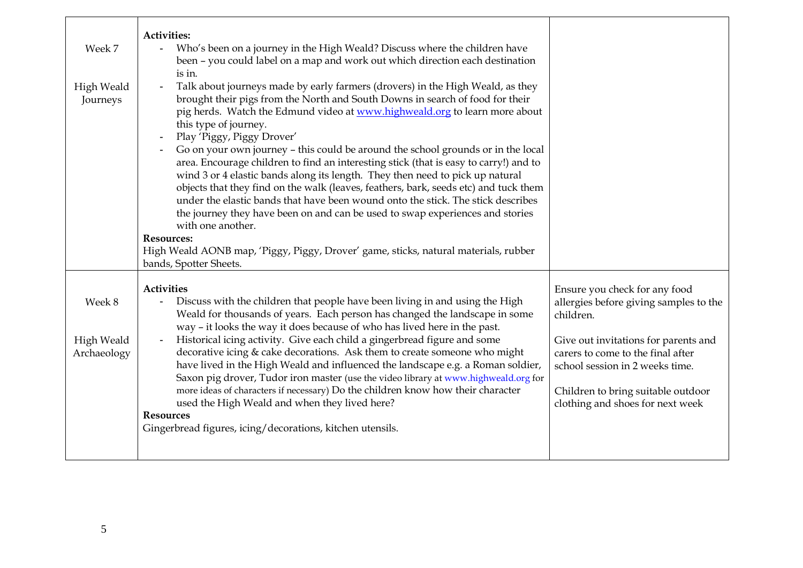| Week 7                              | <b>Activities:</b><br>Who's been on a journey in the High Weald? Discuss where the children have<br>$\blacksquare$<br>been - you could label on a map and work out which direction each destination<br>is in.                                                                                                                                                                                                                                                                                                                                                                                                                                                                                                                                                                                                                                                                                                                                                                                                |                                                                                                                                                                                                                                                                                |
|-------------------------------------|--------------------------------------------------------------------------------------------------------------------------------------------------------------------------------------------------------------------------------------------------------------------------------------------------------------------------------------------------------------------------------------------------------------------------------------------------------------------------------------------------------------------------------------------------------------------------------------------------------------------------------------------------------------------------------------------------------------------------------------------------------------------------------------------------------------------------------------------------------------------------------------------------------------------------------------------------------------------------------------------------------------|--------------------------------------------------------------------------------------------------------------------------------------------------------------------------------------------------------------------------------------------------------------------------------|
| High Weald<br>Journeys              | Talk about journeys made by early farmers (drovers) in the High Weald, as they<br>brought their pigs from the North and South Downs in search of food for their<br>pig herds. Watch the Edmund video at www.highweald.org to learn more about<br>this type of journey.<br>Play 'Piggy, Piggy Drover'<br>$\blacksquare$<br>Go on your own journey - this could be around the school grounds or in the local<br>area. Encourage children to find an interesting stick (that is easy to carry!) and to<br>wind 3 or 4 elastic bands along its length. They then need to pick up natural<br>objects that they find on the walk (leaves, feathers, bark, seeds etc) and tuck them<br>under the elastic bands that have been wound onto the stick. The stick describes<br>the journey they have been on and can be used to swap experiences and stories<br>with one another.<br><b>Resources:</b><br>High Weald AONB map, 'Piggy, Piggy, Drover' game, sticks, natural materials, rubber<br>bands, Spotter Sheets. |                                                                                                                                                                                                                                                                                |
| Week 8<br>High Weald<br>Archaeology | <b>Activities</b><br>Discuss with the children that people have been living in and using the High<br>Weald for thousands of years. Each person has changed the landscape in some<br>way - it looks the way it does because of who has lived here in the past.<br>Historical icing activity. Give each child a gingerbread figure and some<br>decorative icing & cake decorations. Ask them to create someone who might<br>have lived in the High Weald and influenced the landscape e.g. a Roman soldier,<br>Saxon pig drover, Tudor iron master (use the video library at www.highweald.org for<br>more ideas of characters if necessary) Do the children know how their character<br>used the High Weald and when they lived here?<br><b>Resources</b><br>Gingerbread figures, icing/decorations, kitchen utensils.                                                                                                                                                                                        | Ensure you check for any food<br>allergies before giving samples to the<br>children.<br>Give out invitations for parents and<br>carers to come to the final after<br>school session in 2 weeks time.<br>Children to bring suitable outdoor<br>clothing and shoes for next week |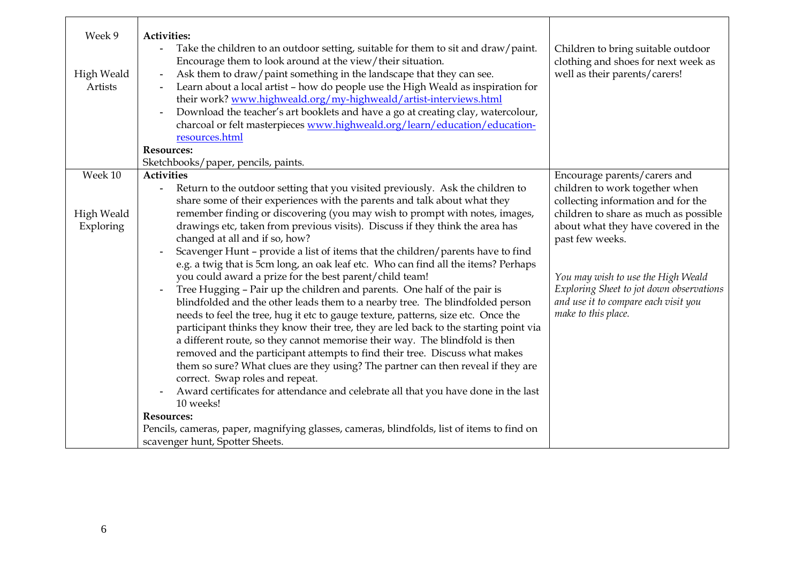| Week 9<br><b>High Weald</b><br>Artists | <b>Activities:</b><br>Take the children to an outdoor setting, suitable for them to sit and draw/paint.<br>Encourage them to look around at the view/their situation.<br>Ask them to draw/paint something in the landscape that they can see.<br>$\blacksquare$<br>Learn about a local artist - how do people use the High Weald as inspiration for<br>their work? www.highweald.org/my-highweald/artist-interviews.html<br>Download the teacher's art booklets and have a go at creating clay, watercolour,<br>$\blacksquare$<br>charcoal or felt masterpieces www.highweald.org/learn/education/education-<br>resources.html<br><b>Resources:</b>                                                                                                                                                                                                                                                                                                                                                                                                                                                                                                                                                                                                                                                                                                                        | Children to bring suitable outdoor<br>clothing and shoes for next week as<br>well as their parents/carers!                                                                                                                                                                                                               |
|----------------------------------------|----------------------------------------------------------------------------------------------------------------------------------------------------------------------------------------------------------------------------------------------------------------------------------------------------------------------------------------------------------------------------------------------------------------------------------------------------------------------------------------------------------------------------------------------------------------------------------------------------------------------------------------------------------------------------------------------------------------------------------------------------------------------------------------------------------------------------------------------------------------------------------------------------------------------------------------------------------------------------------------------------------------------------------------------------------------------------------------------------------------------------------------------------------------------------------------------------------------------------------------------------------------------------------------------------------------------------------------------------------------------------|--------------------------------------------------------------------------------------------------------------------------------------------------------------------------------------------------------------------------------------------------------------------------------------------------------------------------|
|                                        | Sketchbooks/paper, pencils, paints.                                                                                                                                                                                                                                                                                                                                                                                                                                                                                                                                                                                                                                                                                                                                                                                                                                                                                                                                                                                                                                                                                                                                                                                                                                                                                                                                        |                                                                                                                                                                                                                                                                                                                          |
| Week 10                                | <b>Activities</b>                                                                                                                                                                                                                                                                                                                                                                                                                                                                                                                                                                                                                                                                                                                                                                                                                                                                                                                                                                                                                                                                                                                                                                                                                                                                                                                                                          | Encourage parents/carers and                                                                                                                                                                                                                                                                                             |
| High Weald<br>Exploring                | Return to the outdoor setting that you visited previously. Ask the children to<br>$\blacksquare$<br>share some of their experiences with the parents and talk about what they<br>remember finding or discovering (you may wish to prompt with notes, images,<br>drawings etc, taken from previous visits). Discuss if they think the area has<br>changed at all and if so, how?<br>Scavenger Hunt - provide a list of items that the children/parents have to find<br>e.g. a twig that is 5cm long, an oak leaf etc. Who can find all the items? Perhaps<br>you could award a prize for the best parent/child team!<br>Tree Hugging - Pair up the children and parents. One half of the pair is<br>blindfolded and the other leads them to a nearby tree. The blindfolded person<br>needs to feel the tree, hug it etc to gauge texture, patterns, size etc. Once the<br>participant thinks they know their tree, they are led back to the starting point via<br>a different route, so they cannot memorise their way. The blindfold is then<br>removed and the participant attempts to find their tree. Discuss what makes<br>them so sure? What clues are they using? The partner can then reveal if they are<br>correct. Swap roles and repeat.<br>Award certificates for attendance and celebrate all that you have done in the last<br>10 weeks!<br><b>Resources:</b> | children to work together when<br>collecting information and for the<br>children to share as much as possible<br>about what they have covered in the<br>past few weeks.<br>You may wish to use the High Weald<br>Exploring Sheet to jot down observations<br>and use it to compare each visit you<br>make to this place. |
|                                        |                                                                                                                                                                                                                                                                                                                                                                                                                                                                                                                                                                                                                                                                                                                                                                                                                                                                                                                                                                                                                                                                                                                                                                                                                                                                                                                                                                            |                                                                                                                                                                                                                                                                                                                          |
|                                        | Pencils, cameras, paper, magnifying glasses, cameras, blindfolds, list of items to find on                                                                                                                                                                                                                                                                                                                                                                                                                                                                                                                                                                                                                                                                                                                                                                                                                                                                                                                                                                                                                                                                                                                                                                                                                                                                                 |                                                                                                                                                                                                                                                                                                                          |
|                                        | scavenger hunt, Spotter Sheets.                                                                                                                                                                                                                                                                                                                                                                                                                                                                                                                                                                                                                                                                                                                                                                                                                                                                                                                                                                                                                                                                                                                                                                                                                                                                                                                                            |                                                                                                                                                                                                                                                                                                                          |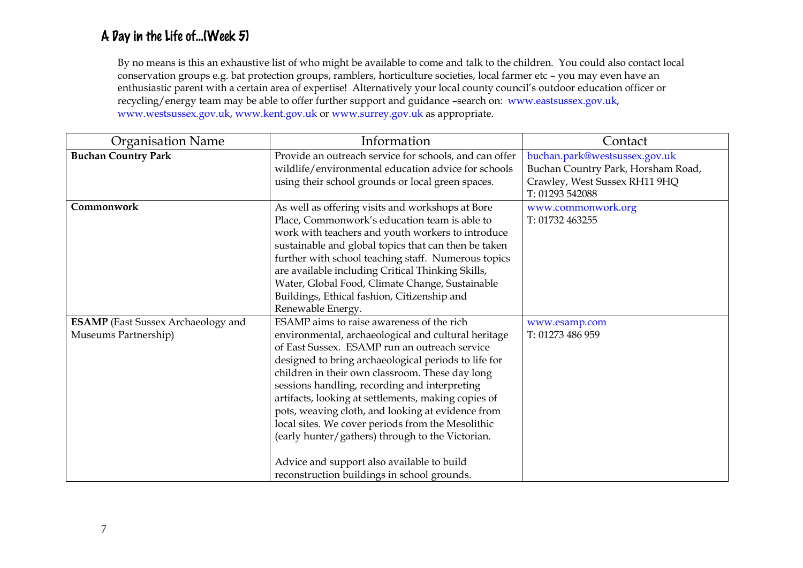## A Day in the Life of…(Week 5)

By no means is this an exhaustive list of who might be available to come and talk to the children. You could also contact local conservation groups e.g. bat protection groups, ramblers, horticulture societies, local farmer etc – you may even have an enthusiastic parent with a certain area of expertise! Alternatively your local county council's outdoor education officer or recycling/energy team may be able to offer further support and guidance –search on: www.eastsussex.gov.uk, www.westsussex.gov.uk, www.kent.gov.uk or www.surrey.gov.uk as appropriate.

| <b>Organisation Name</b>                                          | Information                                                                                                                                                                                                                                                                                                                                                                                                                                                                                                                                                                                                                     | Contact                                                                                                                 |
|-------------------------------------------------------------------|---------------------------------------------------------------------------------------------------------------------------------------------------------------------------------------------------------------------------------------------------------------------------------------------------------------------------------------------------------------------------------------------------------------------------------------------------------------------------------------------------------------------------------------------------------------------------------------------------------------------------------|-------------------------------------------------------------------------------------------------------------------------|
| <b>Buchan Country Park</b>                                        | Provide an outreach service for schools, and can offer<br>wildlife/environmental education advice for schools<br>using their school grounds or local green spaces.                                                                                                                                                                                                                                                                                                                                                                                                                                                              | buchan.park@westsussex.gov.uk<br>Buchan Country Park, Horsham Road,<br>Crawley, West Sussex RH11 9HQ<br>T: 01293 542088 |
| Commonwork                                                        | As well as offering visits and workshops at Bore<br>Place, Commonwork's education team is able to<br>work with teachers and youth workers to introduce<br>sustainable and global topics that can then be taken<br>further with school teaching staff. Numerous topics<br>are available including Critical Thinking Skills,<br>Water, Global Food, Climate Change, Sustainable<br>Buildings, Ethical fashion, Citizenship and<br>Renewable Energy.                                                                                                                                                                               | www.commonwork.org<br>T: 01732 463255                                                                                   |
| <b>ESAMP</b> (East Sussex Archaeology and<br>Museums Partnership) | ESAMP aims to raise awareness of the rich<br>environmental, archaeological and cultural heritage<br>of East Sussex. ESAMP run an outreach service<br>designed to bring archaeological periods to life for<br>children in their own classroom. These day long<br>sessions handling, recording and interpreting<br>artifacts, looking at settlements, making copies of<br>pots, weaving cloth, and looking at evidence from<br>local sites. We cover periods from the Mesolithic<br>(early hunter/gathers) through to the Victorian.<br>Advice and support also available to build<br>reconstruction buildings in school grounds. | www.esamp.com<br>T: 01273 486 959                                                                                       |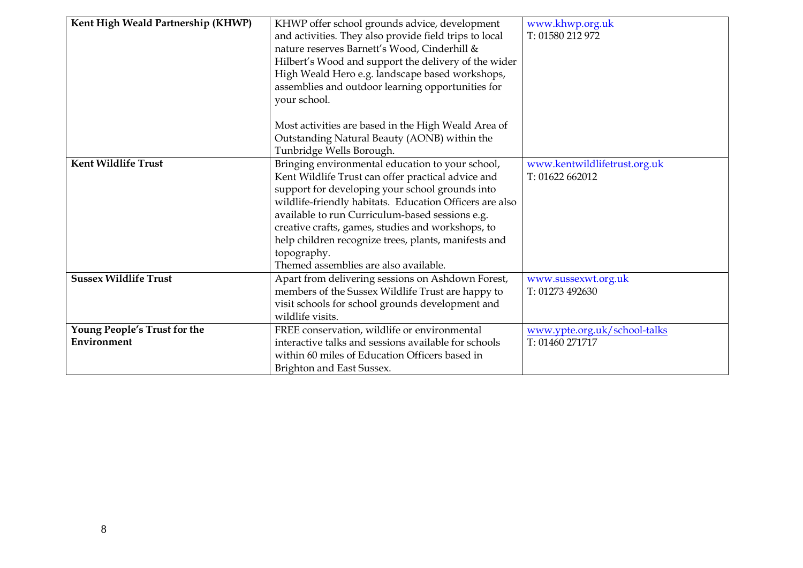| Kent High Weald Partnership (KHWP) |                                                         |                              |
|------------------------------------|---------------------------------------------------------|------------------------------|
|                                    | KHWP offer school grounds advice, development           | www.khwp.org.uk              |
|                                    | and activities. They also provide field trips to local  | T: 01580 212 972             |
|                                    | nature reserves Barnett's Wood, Cinderhill &            |                              |
|                                    | Hilbert's Wood and support the delivery of the wider    |                              |
|                                    | High Weald Hero e.g. landscape based workshops,         |                              |
|                                    | assemblies and outdoor learning opportunities for       |                              |
|                                    | your school.                                            |                              |
|                                    |                                                         |                              |
|                                    | Most activities are based in the High Weald Area of     |                              |
|                                    | Outstanding Natural Beauty (AONB) within the            |                              |
|                                    | Tunbridge Wells Borough.                                |                              |
| <b>Kent Wildlife Trust</b>         | Bringing environmental education to your school,        | www.kentwildlifetrust.org.uk |
|                                    | Kent Wildlife Trust can offer practical advice and      | T: 01622 662012              |
|                                    | support for developing your school grounds into         |                              |
|                                    | wildlife-friendly habitats. Education Officers are also |                              |
|                                    | available to run Curriculum-based sessions e.g.         |                              |
|                                    | creative crafts, games, studies and workshops, to       |                              |
|                                    | help children recognize trees, plants, manifests and    |                              |
|                                    | topography.                                             |                              |
|                                    | Themed assemblies are also available.                   |                              |
| <b>Sussex Wildlife Trust</b>       | Apart from delivering sessions on Ashdown Forest,       | www.sussexwt.org.uk          |
|                                    | members of the Sussex Wildlife Trust are happy to       | T: 01273 492630              |
|                                    | visit schools for school grounds development and        |                              |
|                                    | wildlife visits.                                        |                              |
| Young People's Trust for the       | FREE conservation, wildlife or environmental            | www.ypte.org.uk/school-talks |
| Environment                        | interactive talks and sessions available for schools    | T: 01460 271717              |
|                                    | within 60 miles of Education Officers based in          |                              |
|                                    | Brighton and East Sussex.                               |                              |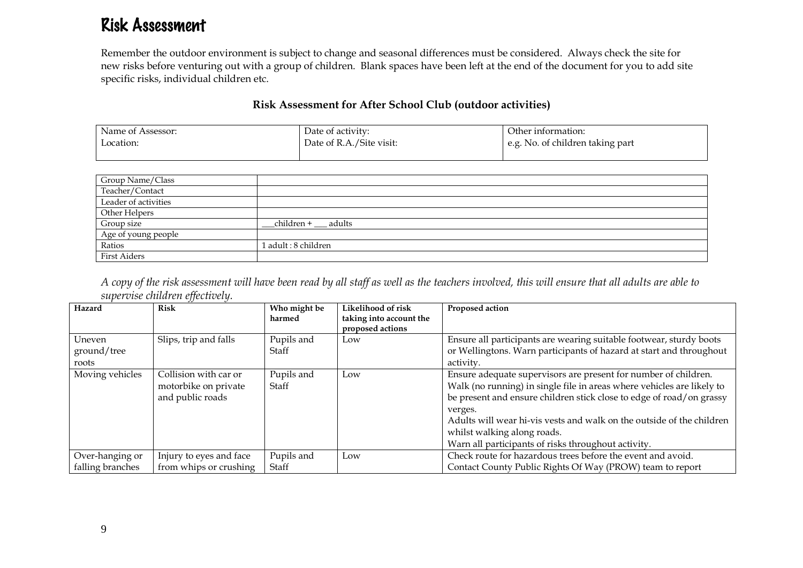## Risk Assessment

Remember the outdoor environment is subject to change and seasonal differences must be considered. Always check the site for new risks before venturing out with a group of children. Blank spaces have been left at the end of the document for you to add site specific risks, individual children etc.

## Risk Assessment for After School Club (outdoor activities)

| Name of Assessor: | Date of activity:        | Other information:               |
|-------------------|--------------------------|----------------------------------|
| Location:         | Date of R.A./Site visit: | e.g. No. of children taking part |
|                   |                          |                                  |

| Group Name/Class     |                        |
|----------------------|------------------------|
| Teacher/Contact      |                        |
| Leader of activities |                        |
| Other Helpers        |                        |
| Group size           | _children + ___ adults |
| Age of young people  |                        |
| Ratios               | 1 adult : 8 children   |
| <b>First Aiders</b>  |                        |

A copy of the risk assessment will have been read by all staff as well as the teachers involved, this will ensure that all adults are able to supervise children effectively.

| Hazard           | <b>Risk</b>             | Who might be<br>harmed | Likelihood of risk<br>taking into account the | Proposed action                                                        |
|------------------|-------------------------|------------------------|-----------------------------------------------|------------------------------------------------------------------------|
|                  |                         |                        | proposed actions                              |                                                                        |
| Uneven           | Slips, trip and falls   | Pupils and             | Low                                           | Ensure all participants are wearing suitable footwear, sturdy boots    |
| ground/tree      |                         | Staff                  |                                               | or Wellingtons. Warn participants of hazard at start and throughout    |
| roots            |                         |                        |                                               | activity.                                                              |
| Moving vehicles  | Collision with car or   | Pupils and             | Low                                           | Ensure adequate supervisors are present for number of children.        |
|                  | motorbike on private    | Staff                  |                                               | Walk (no running) in single file in areas where vehicles are likely to |
|                  | and public roads        |                        |                                               | be present and ensure children stick close to edge of road/on grassy   |
|                  |                         |                        |                                               | verges.                                                                |
|                  |                         |                        |                                               | Adults will wear hi-vis vests and walk on the outside of the children  |
|                  |                         |                        |                                               | whilst walking along roads.                                            |
|                  |                         |                        |                                               | Warn all participants of risks throughout activity.                    |
| Over-hanging or  | Injury to eyes and face | Pupils and             | Low                                           | Check route for hazardous trees before the event and avoid.            |
| falling branches | from whips or crushing  | Staff                  |                                               | Contact County Public Rights Of Way (PROW) team to report              |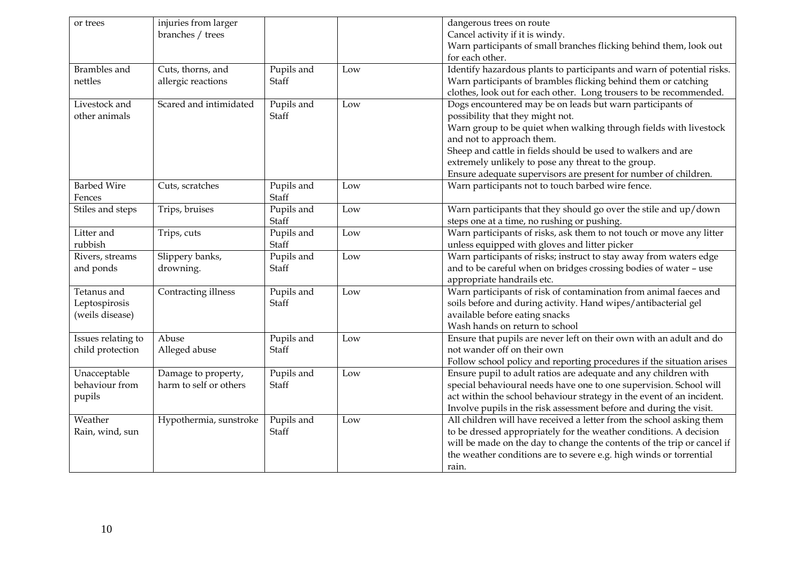| or trees                                        | injuries from larger<br>branches / trees      |                            |     | dangerous trees on route<br>Cancel activity if it is windy.<br>Warn participants of small branches flicking behind them, look out                                                                                                                                                                                                                                                         |
|-------------------------------------------------|-----------------------------------------------|----------------------------|-----|-------------------------------------------------------------------------------------------------------------------------------------------------------------------------------------------------------------------------------------------------------------------------------------------------------------------------------------------------------------------------------------------|
| <b>Brambles</b> and<br>nettles                  | Cuts, thorns, and<br>allergic reactions       | Pupils and<br>Staff        | Low | for each other.<br>Identify hazardous plants to participants and warn of potential risks.<br>Warn participants of brambles flicking behind them or catching<br>clothes, look out for each other. Long trousers to be recommended.                                                                                                                                                         |
| Livestock and<br>other animals                  | Scared and intimidated                        | Pupils and<br><b>Staff</b> | Low | Dogs encountered may be on leads but warn participants of<br>possibility that they might not.<br>Warn group to be quiet when walking through fields with livestock<br>and not to approach them.<br>Sheep and cattle in fields should be used to walkers and are<br>extremely unlikely to pose any threat to the group.<br>Ensure adequate supervisors are present for number of children. |
| <b>Barbed Wire</b><br>Fences                    | Cuts, scratches                               | Pupils and<br>Staff        | Low | Warn participants not to touch barbed wire fence.                                                                                                                                                                                                                                                                                                                                         |
| Stiles and steps                                | Trips, bruises                                | Pupils and<br>Staff        | Low | Warn participants that they should go over the stile and up/down<br>steps one at a time, no rushing or pushing.                                                                                                                                                                                                                                                                           |
| Litter and<br>rubbish                           | Trips, cuts                                   | Pupils and<br>Staff        | Low | Warn participants of risks, ask them to not touch or move any litter<br>unless equipped with gloves and litter picker                                                                                                                                                                                                                                                                     |
| Rivers, streams<br>and ponds                    | Slippery banks,<br>drowning.                  | Pupils and<br><b>Staff</b> | Low | Warn participants of risks; instruct to stay away from waters edge<br>and to be careful when on bridges crossing bodies of water - use<br>appropriate handrails etc.                                                                                                                                                                                                                      |
| Tetanus and<br>Leptospirosis<br>(weils disease) | Contracting illness                           | Pupils and<br><b>Staff</b> | Low | Warn participants of risk of contamination from animal faeces and<br>soils before and during activity. Hand wipes/antibacterial gel<br>available before eating snacks<br>Wash hands on return to school                                                                                                                                                                                   |
| Issues relating to<br>child protection          | Abuse<br>Alleged abuse                        | Pupils and<br>Staff        | Low | Ensure that pupils are never left on their own with an adult and do<br>not wander off on their own<br>Follow school policy and reporting procedures if the situation arises                                                                                                                                                                                                               |
| Unacceptable<br>behaviour from<br>pupils        | Damage to property,<br>harm to self or others | Pupils and<br>Staff        | Low | Ensure pupil to adult ratios are adequate and any children with<br>special behavioural needs have one to one supervision. School will<br>act within the school behaviour strategy in the event of an incident.<br>Involve pupils in the risk assessment before and during the visit.                                                                                                      |
| Weather<br>Rain, wind, sun                      | Hypothermia, sunstroke                        | Pupils and<br>Staff        | Low | All children will have received a letter from the school asking them<br>to be dressed appropriately for the weather conditions. A decision<br>will be made on the day to change the contents of the trip or cancel if<br>the weather conditions are to severe e.g. high winds or torrential<br>rain.                                                                                      |